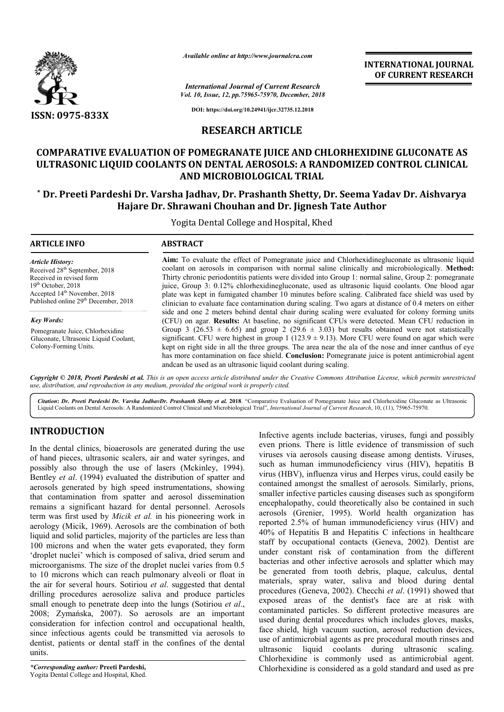

*Available online at http://www.journalcra.com*

*Vol. 10, Issue, 12, pp.75965-75970, December, 2018 International Journal of Current Research*

**INTERNATIONAL JOURNAL OF CURRENT RESEARCH**

e juice is potent antimicrobial agent

**DOI: https://doi.org/10.24941/ijcr.32735.12.2018**

# **RESEARCH ARTICLE**

# **COMPARATIVE EVALUATION OF POMEGRANATE JUICE AND CHLORHEXIDINE CHLORHEXIDINE GLUCONATE AS ULTRASONIC LIQUID COOLANTS ON DENTAL AEROSOLS: A RANDOMIZED CONTROL CLINICAL AND MICROBIOLOGICAL TRIAL**

# \* Dr. Preeti Pardeshi Dr. Varsha Jadhav, Dr. Prashanth Shetty, Dr. Seema Yadav Dr. Aishvarya **Hajare Dr. Shrawani Chouhan and Dr. Jignesh Tate Author**

Yogita Dental College and Hospital, Khed

| <b>ARTICLE INFO</b>                              | <b>ABSTRACT</b>                                                                                                                                                                                   |
|--------------------------------------------------|---------------------------------------------------------------------------------------------------------------------------------------------------------------------------------------------------|
| <b>Article History:</b>                          | Aim: To evaluate the effect of Pomegranate juice and Chlorhexidinegluconate as ultrasonic liquid                                                                                                  |
| Received 28 <sup>th</sup> September, 2018        | coolant on aerosols in comparison with normal saline clinically and microbiologically. Method:                                                                                                    |
| Received in revised form                         | Thirty chronic periodontitis patients were divided into Group 1: normal saline, Group 2: pomegranate                                                                                              |
| $19th$ October, 2018                             | juice, Group 3: 0.12% chlorhexidinegluconate, used as ultrasonic liquid coolants. One blood agar                                                                                                  |
| Accepted 14 <sup>th</sup> November, 2018         | plate was kept in fumigated chamber 10 minutes before scaling. Calibrated face shield was used by                                                                                                 |
| Published online 29 <sup>th</sup> December, 2018 | clinician to evaluate face contamination during scaling. Two agars at distance of 0.4 meters on either                                                                                            |
| <b>Key Words:</b>                                | side and one 2 meters behind dental chair during scaling were evaluated for colony forming units<br>(CFU) on agar. Results: At baseline, no significant CFUs were detected. Mean CFU reduction in |
| Pomegranate Juice, Chlorhexidine                 | Group 3 (26.53 $\pm$ 6.65) and group 2 (29.6 $\pm$ 3.03) but results obtained were not statistically                                                                                              |
| Gluconate, Ultrasonic Liquid Coolant,            | significant. CFU were highest in group 1 (123.9 $\pm$ 9.13). More CFU were found on agar which were                                                                                               |
| Colony-Forming Units.                            | kept on right side in all the three groups. The area near the ala of the nose and inner canthus of eye                                                                                            |

andcan be used as an ultrasonic liquid coolant during scaling. Copyright © 2018, Preeti Pardeshi et al. This is an open access article distributed under the Creative Commons Attribution License, which permits unrestrictea *use, distribution, and reproduction in any medium, provided the original work is properly cited.*

contamination on face shield. **Conclusion:** Pomegranate

Citation: Dr. Preeti Pardeshi Dr. Varsha JadhavDr. Prashanth Shetty et al. 2018. "Comparative Evaluation of Pomegranate Juice and Chlorhexidine Gluconate as Ultrasonic Liquid Coolants on Dental Aerosols: A Randomized Control Clinical and Microbiological Trial", *International Journal of Current Research Research*, 10, (11), 75965-75970.

# **INTRODUCTION**

In the dental clinics, bioaerosols are generated during the use of hand pieces, ultrasonic scalers, air and water syringes, and possibly also through the use of lasers (Mckinley, 1994) 1994). Bentley *et al*. (1994) evaluated the distribution of spatter and aerosols generated by high speed instrumentations, showing that contamination from spatter and aerosol dissemination remains a significant hazard for dental personnel. Aerosols term was first used by *Micik et al.* in his pioneering work in aerology (Micik, 1969). Aerosols are the combination of both liquid and solid particles, majority of the particles are less than 100 microns and when the water gets evaporated, they form 'droplet nuclei' which is composed of saliva, dried serum and microorganisms. The size of the droplet nuclei varies from 0.5 to 10 microns which can reach pulmonary alveoli or float in the air for several hours. Sotiriou *et al*. suggested that dental drilling procedures aerosolize saliva and produce particles small enough to penetrate deep into the lungs (Sotiriou *et al*., 2008; Zymańska, 2007). So aerosols are an important consideration for infection control and occupational health, since infectious agents could be transmitted via aerosols to dentist, patients or dental staff in the confines of the dental units.

has more

Infective agents include bacterias, viruses, fungi and possibly even prions. There is little evidence of transmission of such viruses via aerosols causing disease among dentists. Viruses, such as human immunodeficiency virus (HIV), hepatitis B virus (HBV), influenza virus and Herpes virus, could easily be contained amongst the smallest of aerosols. Similarly, prions, smaller infective particles causing diseases such as spongiform encephalopathy, could theoretically also be contained in such aerosols (Grenier, 1995). World health organization has reported 2.5% of human immunodeficiency virus (HIV) and 40% of Hepatitis B and Hepatitis C infections in healthcare staff by occupational contacts (Geneva, 2002). Dentist are under constant risk of contamination from the different bacterias and other infective aerosols and splatter which may be generated from tooth debris, plaque, calculus, dental materials, spray water, saliva and blood during dental procedures (Geneva, 2002). Checchi *et al*. (1991) showed that exposed areas of the dentist's face are at risk with contaminated particles. So different protective measures are used during dental procedures which includes gloves, masks, face shield, high vacuum suction, aerosol reduction devices, use of antimicrobial agents as pre procedural mouth rinses and ultrasonic liquid coolants during ultrasonic scaling. Chlorhexidine is commonly used as antimicrobial agent. Chlorhexidine is considered as a gold standard and used as pre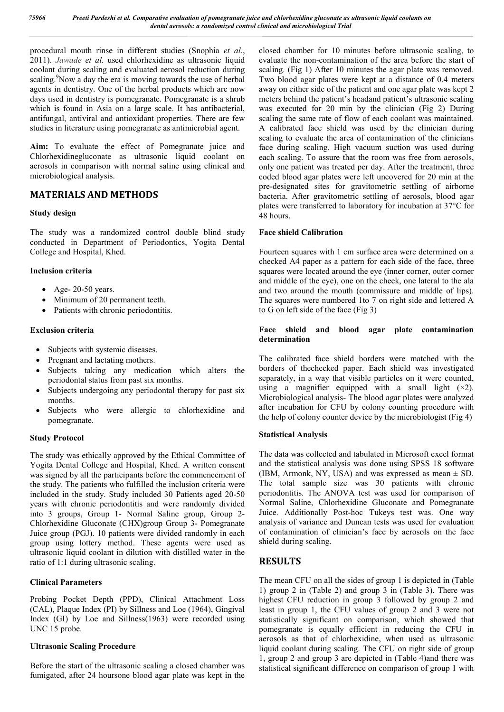procedural mouth rinse in different studies (Snophia *et al*., 2011). *Jawade et al.* used chlorhexidine as ultrasonic liquid coolant during scaling and evaluated aerosol reduction during scaling.<sup>9</sup>Now a day the era is moving towards the use of herbal agents in dentistry. One of the herbal products which are now days used in dentistry is pomegranate. Pomegranate is a shrub which is found in Asia on a large scale. It has antibacterial, antifungal, antiviral and antioxidant properties. There are few studies in literature using pomegranate as antimicrobial agent.

**Aim:** To evaluate the effect of Pomegranate juice and Chlorhexidinegluconate as ultrasonic liquid coolant on aerosols in comparison with normal saline using clinical and microbiological analysis.

# **MATERIALS AND METHODS**

### **Study design**

The study was a randomized control double blind study conducted in Department of Periodontics, Yogita Dental College and Hospital, Khed.

### **Inclusion criteria**

- Age- 20-50 years.
- Minimum of 20 permanent teeth.
- Patients with chronic periodontitis.

### **Exclusion criteria**

- Subjects with systemic diseases.
- Pregnant and lactating mothers.
- Subjects taking any medication which alters the periodontal status from past six months.
- Subjects undergoing any periodontal therapy for past six months.
- Subjects who were allergic to chlorhexidine and pomegranate.

#### **Study Protocol**

The study was ethically approved by the Ethical Committee of Yogita Dental College and Hospital, Khed. A written consent was signed by all the participants before the commencement of the study. The patients who fulfilled the inclusion criteria were included in the study. Study included 30 Patients aged 20-50 years with chronic periodontitis and were randomly divided into 3 groups, Group 1- Normal Saline group, Group 2- Chlorhexidine Gluconate (CHX)group Group 3- Pomegranate Juice group (PGJ). 10 patients were divided randomly in each group using lottery method. These agents were used as ultrasonic liquid coolant in dilution with distilled water in the ratio of 1:1 during ultrasonic scaling.

## **Clinical Parameters**

Probing Pocket Depth (PPD), Clinical Attachment Loss (CAL), Plaque Index (PI) by Sillness and Loe (1964), Gingival Index (GI) by Loe and Sillness(1963) were recorded using UNC 15 probe.

#### **Ultrasonic Scaling Procedure**

Before the start of the ultrasonic scaling a closed chamber was fumigated, after 24 hoursone blood agar plate was kept in the

closed chamber for 10 minutes before ultrasonic scaling, to evaluate the non-contamination of the area before the start of scaling. (Fig 1) After 10 minutes the agar plate was removed. Two blood agar plates were kept at a distance of 0.4 meters away on either side of the patient and one agar plate was kept 2 meters behind the patient's headand patient's ultrasonic scaling was executed for 20 min by the clinician (Fig 2) During scaling the same rate of flow of each coolant was maintained. A calibrated face shield was used by the clinician during scaling to evaluate the area of contamination of the clinicians face during scaling. High vacuum suction was used during each scaling. To assure that the room was free from aerosols, only one patient was treated per day. After the treatment, three coded blood agar plates were left uncovered for 20 min at the pre-designated sites for gravitometric settling of airborne bacteria. After gravitometric settling of aerosols, blood agar plates were transferred to laboratory for incubation at 37°C for 48 hours.

### **Face shield Calibration**

Fourteen squares with 1 cm surface area were determined on a checked A4 paper as a pattern for each side of the face, three squares were located around the eye (inner corner, outer corner and middle of the eye), one on the cheek, one lateral to the ala and two around the mouth (commissure and middle of lips). The squares were numbered 1to 7 on right side and lettered A to G on left side of the face (Fig 3)

#### **Face shield and blood agar plate contamination determination**

The calibrated face shield borders were matched with the borders of thechecked paper. Each shield was investigated separately, in a way that visible particles on it were counted, using a magnifier equipped with a small light  $(x2)$ . Microbiological analysis- The blood agar plates were analyzed after incubation for CFU by colony counting procedure with the help of colony counter device by the microbiologist (Fig 4)

## **Statistical Analysis**

The data was collected and tabulated in Microsoft excel format and the statistical analysis was done using SPSS 18 software (IBM, Armonk, NY, USA) and was expressed as mean  $\pm$  SD. The total sample size was 30 patients with chronic periodontitis. The ANOVA test was used for comparison of Normal Saline, Chlorhexidine Gluconate and Pomegranate Juice. Additionally Post-hoc Tukeys test was. One way analysis of variance and Duncan tests was used for evaluation of contamination of clinician's face by aerosols on the face shield during scaling.

# **RESULTS**

The mean CFU on all the sides of group 1 is depicted in (Table 1) group 2 in (Table 2) and group 3 in (Table 3). There was highest CFU reduction in group 3 followed by group 2 and least in group 1, the CFU values of group 2 and 3 were not statistically significant on comparison, which showed that pomegranate is equally efficient in reducing the CFU in aerosols as that of chlorhexidine, when used as ultrasonic liquid coolant during scaling. The CFU on right side of group 1, group 2 and group 3 are depicted in (Table 4)and there was statistical significant difference on comparison of group 1 with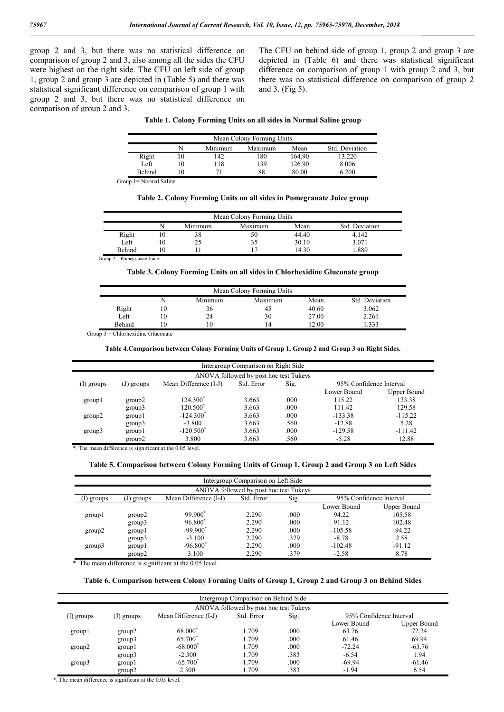group 2 and 3, but there was no statistical difference on comparison of group 2 and 3, also among all the sides the CFU were highest on the right side. The CFU on left side of group 1, group 2 and group 3 are depicted in (Table 5) and there was statistical significant difference on comparison of group 1 with group 2 and 3, but there was no statistical difference on comparison of group 2 and 3.

The CFU on behind side of group 1, group 2 and group 3 are depicted in (Table 6) and there was statistical significant difference on comparison of group 1 with group 2 and 3, but there was no statistical difference on comparison of group 2 and 3. (Fig 5).

|  |  |  | Table 1. Colony Forming Units on all sides in Normal Saline group |
|--|--|--|-------------------------------------------------------------------|
|  |  |  |                                                                   |

| Mean Colony Forming Units |  |         |         |        |                |  |
|---------------------------|--|---------|---------|--------|----------------|--|
|                           |  | Minimum | Maximum | Mean   | Std. Deviation |  |
| Right                     |  | 142     | 180     | 164.90 | 13.220         |  |
| Left                      |  | 118     | 139     | 126.90 | 8.006          |  |
| <b>Behind</b>             |  |         | 88      | 80.00  | 6.200          |  |

Group 1= Normal Saline

#### **Table 2. Colony Forming Units on all sides in Pomegranate Juice group**

| Mean Colony Forming Units |    |         |         |       |                |  |
|---------------------------|----|---------|---------|-------|----------------|--|
|                           |    | Minimum | Maximum | Mean  | Std. Deviation |  |
| Right                     | ٤V | 38      | 50      | 44.40 | 4.142          |  |
| Left                      | ιU | 25      |         | 30.10 | 3.071          |  |
| <b>Behind</b>             |    |         |         | 14.30 | .889           |  |

Group 2 = Pomegranate Juice

#### **Table 3. Colony Forming Units on all sides in Chlorhexidine Gluconate group**

| Mean Colony Forming Units |    |         |                |       |                |  |
|---------------------------|----|---------|----------------|-------|----------------|--|
|                           |    | Minimum | Maximum        | Mean  | Std. Deviation |  |
| Right                     | 10 | 36      | 40             | 40.60 | 3.062          |  |
| Left                      | 10 | 24      | 30             | 27.00 | 2.261          |  |
| <b>Behind</b>             | 10 |         | $\overline{4}$ | 12.00 | .333           |  |

Group 3 = Chlorhexidine Gluconate

#### **Table 4.Comparison between Colony Forming Units of Group 1, Group 2 and Group 3 on Right Sides.**

| Intergroup Comparison on Right Side                                                                |        |                         |       |      |             |             |  |  |
|----------------------------------------------------------------------------------------------------|--------|-------------------------|-------|------|-------------|-------------|--|--|
| ANOVA followed by post hoc test Tukeys                                                             |        |                         |       |      |             |             |  |  |
| 95% Confidence Interval<br>Std. Error<br>Sig.<br>Mean Difference (I-J)<br>(J) groups<br>(1) groups |        |                         |       |      |             |             |  |  |
|                                                                                                    |        |                         |       |      | Lower Bound | Upper Bound |  |  |
| group l                                                                                            | group2 | 124.300 <sup>*</sup>    | 3.663 | .000 | 115.22      | 133.38      |  |  |
|                                                                                                    | group3 | 120.500 $^*$            | 3.663 | .000 | 111.42      | 129.58      |  |  |
| group2                                                                                             | group1 | $-124.300^*$            | 3.663 | .000 | $-133.38$   | $-115.22$   |  |  |
|                                                                                                    | group3 | $-3.800$                | 3.663 | .560 | $-12.88$    | 5.28        |  |  |
| group3                                                                                             | group  | $-120.500$ <sup>*</sup> | 3.663 | .000 | $-129.58$   | $-111.42$   |  |  |
|                                                                                                    | group2 | 3.800                   | 3.663 | .560 | $-5.28$     | 12.88       |  |  |

\*. The mean difference is significant at the 0.05 level.

#### **Table 5. Comparison between Colony Forming Units of Group 1, Group 2 and Group 3 on Left Sides**

| Intergroup Comparison on Left Side     |                                                                                        |                     |       |      |             |             |  |
|----------------------------------------|----------------------------------------------------------------------------------------|---------------------|-------|------|-------------|-------------|--|
| ANOVA followed by post hoc test Tukeys |                                                                                        |                     |       |      |             |             |  |
| (I) groups                             | Sig.<br>95% Confidence Interval<br>Std. Error<br>Mean Difference (I-J)<br>$(J)$ groups |                     |       |      |             |             |  |
|                                        |                                                                                        |                     |       |      | Lower Bound | Upper Bound |  |
| group l                                | group2                                                                                 | 99.900 <sup>*</sup> | 2.290 | .000 | 94.22       | 105.58      |  |
|                                        | group3                                                                                 | 96.800 <sup>*</sup> | 2.290 | .000 | 91.12       | 102.48      |  |
| group2                                 | group                                                                                  | $-99.900*$          | 2.290 | .000 | $-105.58$   | $-94.22$    |  |
|                                        | group3                                                                                 | $-3.100$            | 2.290 | .379 | $-8.78$     | 2.58        |  |
| group3                                 | group                                                                                  | $-96.800*$          | 2.290 | .000 | $-102.48$   | $-91.12$    |  |
|                                        | group2                                                                                 | 3.100               | 2.290 | .379 | $-2.58$     | 8.78        |  |

\*. The mean difference is significant at the 0.05 level.

#### **Table 6. Comparison between Colony Forming Units of Group 1, Group 2 and Group 3 on Behind Sides**

| Intergroup Comparison on Behind Side |                                        |                       |            |      |                         |             |  |  |
|--------------------------------------|----------------------------------------|-----------------------|------------|------|-------------------------|-------------|--|--|
|                                      | ANOVA followed by post hoc test Tukeys |                       |            |      |                         |             |  |  |
| (I) groups                           | $(J)$ groups                           | Mean Difference (I-J) | Std. Error | Sig. | 95% Confidence Interval |             |  |  |
|                                      |                                        |                       |            |      | Lower Bound             | Upper Bound |  |  |
| group l                              | group2                                 | 68.000                | 1.709      | .000 | 63.76                   | 72.24       |  |  |
|                                      | group3                                 | 65.700                | 1.709      | .000 | 61.46                   | 69.94       |  |  |
| group2                               | group                                  | $-68.000*$            | 1.709      | .000 | $-72.24$                | $-63.76$    |  |  |
|                                      | group3                                 | $-2.300$              | 1.709      | .383 | $-6.54$                 | 1.94        |  |  |
| group3                               | group                                  | $-65.700^*$           | 1.709      | .000 | $-69.94$                | $-61.46$    |  |  |
|                                      | group2                                 | 2.300                 | 1.709      | .383 | $-1.94$                 | 6.54        |  |  |

\*. The mean difference is significant at the 0.05 level.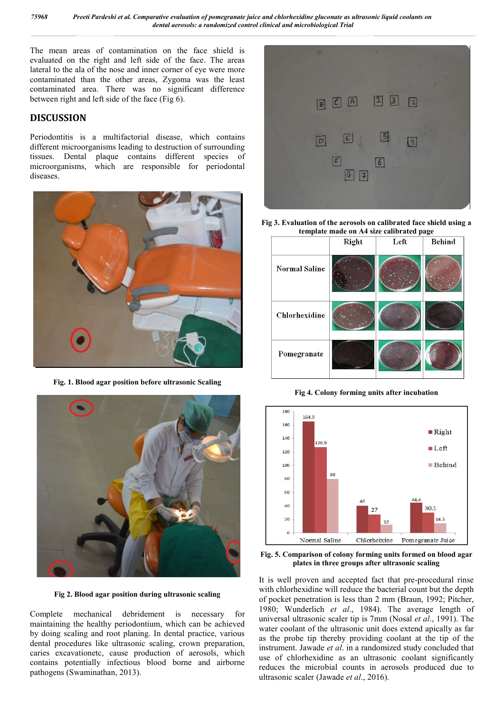The mean areas of contamination on the face shield is evaluated on the right and left side of the face. The areas lateral to the ala of the nose and inner corner of eye were more contaminated than the other areas, Zygoma was the least contaminated area. There was no significant difference between right and left side of the face (Fig 6).

## **DISCUSSION**

Periodontitis is a multifactorial disease, which contains different microorganisms leading to destruction of surrounding tissues. Dental plaque contains different species of microorganisms, which are responsible for periodontal diseases.



**Fig. 1. Blood agar position before ultrasonic Scaling**



**Fig 2. Blood agar position during ultrasonic scaling**

Complete mechanical debridement is necessary for maintaining the healthy periodontium, which can be achieved by doing scaling and root planing. In dental practice, various dental procedures like ultrasonic scaling, crown preparation, caries excavationetc, cause production of aerosols, which contains potentially infectious blood borne and airborne pathogens (Swaminathan, 2013).



**Fig 3. Evaluation of the aerosols on calibrated face shield using a template made on A4 size calibrated page**



**Fig 4. Colony forming units after incubation**



**Fig. 5. Comparison of colony forming units formed on blood agar plates in three groups after ultrasonic scaling**

It is well proven and accepted fact that pre-procedural rinse with chlorhexidine will reduce the bacterial count but the depth of pocket penetration is less than 2 mm (Braun, 1992; Pitcher, 1980; Wunderlich *et al*., 1984). The average length of universal ultrasonic scaler tip is 7mm (Nosal *et al*., 1991). The water coolant of the ultrasonic unit does extend apically as far as the probe tip thereby providing coolant at the tip of the instrument. Jawade *et al*. in a randomized study concluded that use of chlorhexidine as an ultrasonic coolant significantly reduces the microbial counts in aerosols produced due to ultrasonic scaler (Jawade *et al*., 2016).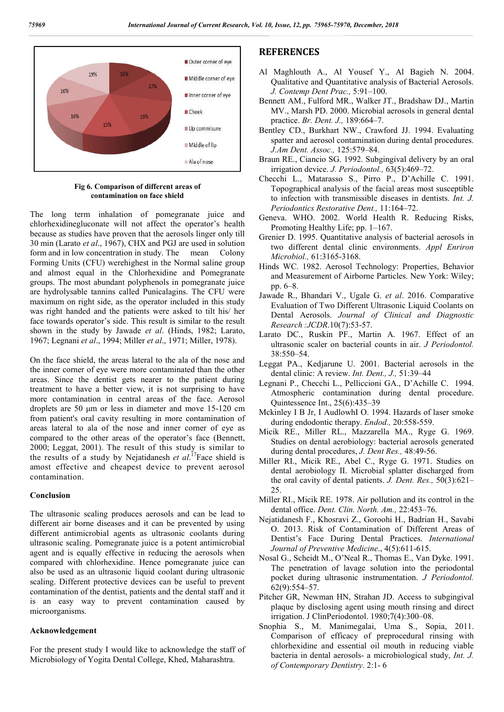

**Fig 6. Comparison of different areas of contamination on face shield**

The long term inhalation of pomegranate juice and chlorhexidinegluconate will not affect the operator's health because as studies have proven that the aerosols linger only till 30 min (Larato *et al*., 1967), CHX and PGJ are used in solution form and in low concentration in study. The mean Colony Forming Units (CFU) werehighest in the Normal saline group and almost equal in the Chlorhexidine and Pomegranate groups. The most abundant polyphenols in pomegranate juice are hydrolysable tannins called Punicalagins. The CFU were maximum on right side, as the operator included in this study was right handed and the patients were asked to tilt his/ her face towards operator's side. This result is similar to the result shown in the study by Jawade *et al*. (Hinds, 1982; Larato, 1967; Legnani *et al*., 1994; Miller *et al*., 1971; Miller, 1978).

On the face shield, the areas lateral to the ala of the nose and the inner corner of eye were more contaminated than the other areas. Since the dentist gets nearer to the patient during treatment to have a better view, it is not surprising to have more contamination in central areas of the face. Aerosol droplets are 50 μm or less in diameter and move 15-120 cm from patient's oral cavity resulting in more contamination of areas lateral to ala of the nose and inner corner of eye as compared to the other areas of the operator's face (Bennett, 2000; Leggat, 2001). The result of this study is similar to the results of a study by Nejatidanesh *et al*. 17Face shield is amost effective and cheapest device to prevent aerosol contamination.

#### **Conclusion**

The ultrasonic scaling produces aerosols and can be lead to different air borne diseases and it can be prevented by using different antimicrobial agents as ultrasonic coolants during ultrasonic scaling. Pomegranate juice is a potent antimicrobial agent and is equally effective in reducing the aerosols when compared with chlorhexidine. Hence pomegranate juice can also be used as an ultrasonic liquid coolant during ultrasonic scaling. Different protective devices can be useful to prevent contamination of the dentist, patients and the dental staff and it is an easy way to prevent contamination caused by microorganisms.

#### **Acknowledgement**

For the present study I would like to acknowledge the staff of Microbiology of Yogita Dental College, Khed, Maharashtra.

## **REFERENCES**

- Al Maghlouth A., Al Yousef Y., Al Bagieh N. 2004. Qualitative and Quantitative analysis of Bacterial Aerosols. *J. Contemp Dent Prac.,* 5:91–100.
- Bennett AM., Fulford MR., Walker JT., Bradshaw DJ., Martin MV., Marsh PD. 2000. Microbial aerosols in general dental practice. *Br. Dent. J.,* 189:664–7.
- Bentley CD., Burkhart NW., Crawford JJ. 1994. Evaluating spatter and aerosol contamination during dental procedures. *J.Am Dent. Assoc.,* 125:579–84.
- Braun RE., Ciancio SG. 1992. Subgingival delivery by an oral irrigation device. *J. Periodontol.,* 63(5):469–72.
- Checchi L., Matarasso S., Pirro P., D'Achille C. 1991. Topographical analysis of the facial areas most susceptible to infection with transmissible diseases in dentists. *Int. J. Periodontics Restorative Dent.,* 11:164–72.
- Geneva. WHO. 2002. World Health R. Reducing Risks, Promoting Healthy Life; pp. 1–167.
- Grenier D. 1995. Quantitative analysis of bacterial aerosols in two different dental clinic environments. *Appl Enriron Microbiol.,* 61:3165-3168.
- Hinds WC. 1982. Aerosol Technology: Properties, Behavior and Measurement of Airborne Particles. New York: Wiley; pp. 6–8.
- Jawade R., Bhandari V., Ugale G. *et al*. 2016. Comparative Evaluation of Two Different Ultrasonic Liquid Coolants on Dental Aerosols. *Journal of Clinical and Diagnostic Research :JCDR*.10(7):53-57.
- Larato DC., Ruskin PF., Martin A. 1967. Effect of an ultrasonic scaler on bacterial counts in air. *J Periodontol.* 38:550–54.
- Leggat PA., Kedjarune U. 2001. Bacterial aerosols in the dental clinic: A review. *Int. Dent., J.,* 51:39–44
- Legnani P., Checchi L., Pelliccioni GA., D'Achille C. 1994. Atmospheric contamination during dental procedure. Quintessence Int., 25(6):435–39
- Mckinley I B Jr, I AudlowhI O. 1994. Hazards of laser smoke during endodontic therapy. *Endod.,* 20:558-559.
- Micik RE., Miller RL., Mazzarella MA., Ryge G. 1969. Studies on dental aerobiology: bacterial aerosols generated during dental procedures, *J. Dent Res.,* 48:49-56.
- Miller RI., Micik RE., Abel C., Ryge G. 1971. Studies on dental aerobiology II. Microbial splatter discharged from the oral cavity of dental patients. *J. Dent. Res.,* 50(3):621– 25.
- Miller RI., Micik RE. 1978. Air pollution and its control in the dental office. *Dent. Clin. North. Am.,* 22:453–76.
- Nejatidanesh F., Khosravi Z., Goroohi H., Badrian H., Savabi O. 2013. Risk of Contamination of Different Areas of Dentist's Face During Dental Practices. *International Journal of Preventive Medicine*., 4(5):611-615.
- Nosal G., Scheidt M., O'Neal R., Thomas E., Van Dyke. 1991. The penetration of lavage solution into the periodontal pocket during ultrasonic instrumentation. *J Periodontol.* 62(9):554–57.
- Pitcher GR, Newman HN, Strahan JD. Access to subgingival plaque by disclosing agent using mouth rinsing and direct irrigation. J ClinPeriodontol. 1980;7(4):300–08.
- Snophia S., M. Manimegalai, Uma S., Sopia, 2011. Comparison of efficacy of preprocedural rinsing with chlorhexidine and essential oil mouth in reducing viable bacteria in dental aerosols- a microbiological study, *Int. J. of Contemporary Dentistry.* 2:1- 6